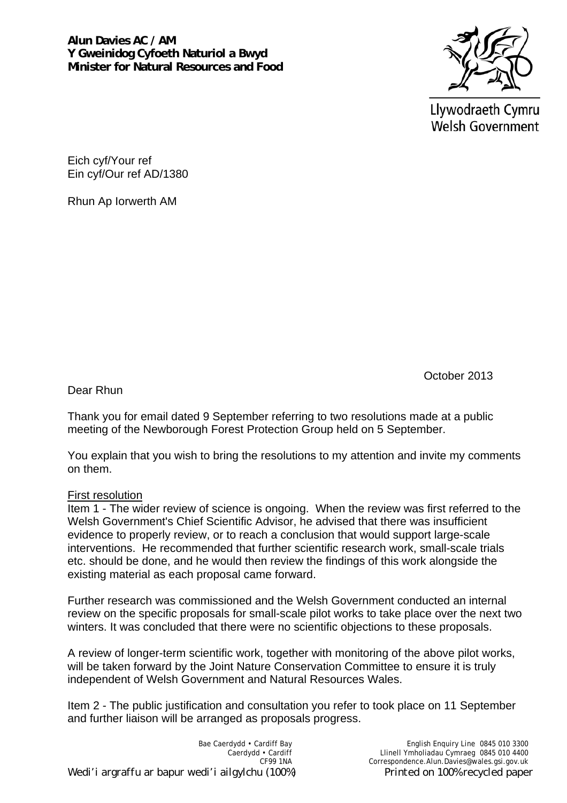

Llywodraeth Cymru **Welsh Government** 

Eich cyf/Your ref Ein cyf/Our ref AD/1380

Rhun Ap Iorwerth AM

October 2013

Dear Rhun

Thank you for email dated 9 September referring to two resolutions made at a public meeting of the Newborough Forest Protection Group held on 5 September.

You explain that you wish to bring the resolutions to my attention and invite my comments on them.

## First resolution

Item 1 - The wider review of science is ongoing. When the review was first referred to the Welsh Government's Chief Scientific Advisor, he advised that there was insufficient evidence to properly review, or to reach a conclusion that would support large-scale interventions. He recommended that further scientific research work, small-scale trials etc. should be done, and he would then review the findings of this work alongside the existing material as each proposal came forward.

Further research was commissioned and the Welsh Government conducted an internal review on the specific proposals for small-scale pilot works to take place over the next two winters. It was concluded that there were no scientific objections to these proposals.

A review of longer-term scientific work, together with monitoring of the above pilot works, will be taken forward by the Joint Nature Conservation Committee to ensure it is truly independent of Welsh Government and Natural Resources Wales.

Item 2 - The public justification and consultation you refer to took place on 11 September and further liaison will be arranged as proposals progress.